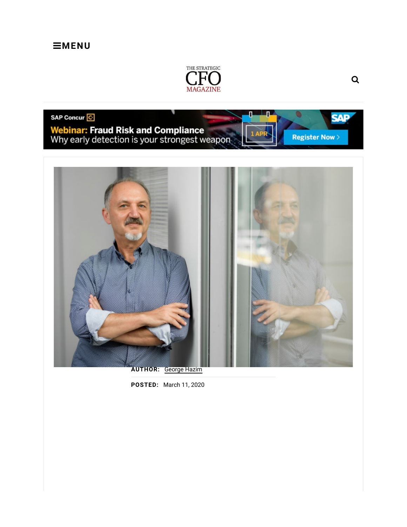### $\equiv$ MENU



#### SAP Concur<sup>C</sup>

Webinar: Fraud Risk and Compliance<br>Why early detection is your strongest weapon



AUTHOR: George Hazim

POSTED: March 11, 2020

**SAP** 

**Register Now >**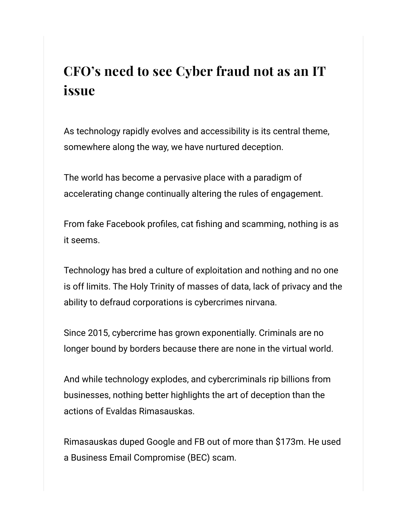### CFO's need to see Cyber fraud not as an IT issue

As technology rapidly evolves and accessibility is its central theme, somewhere along the way, we have nurtured deception.

The world has become a pervasive place with a paradigm of accelerating change continually altering the rules of engagement.

From fake Facebook profiles, cat fishing and scamming, nothing is as it seems.

Technology has bred a culture of exploitation and nothing and no one is off limits. The Holy Trinity of masses of data, lack of privacy and the ability to defraud corporations is cybercrimes nirvana.

Since 2015, cybercrime has grown exponentially. Criminals are no longer bound by borders because there are none in the virtual world.

And while technology explodes, and cybercriminals rip billions from businesses, nothing better highlights the art of deception than the actions of Evaldas Rimasauskas.

Rimasauskas duped Google and FB out of more than \$173m. He used a Business Email Compromise (BEC) scam.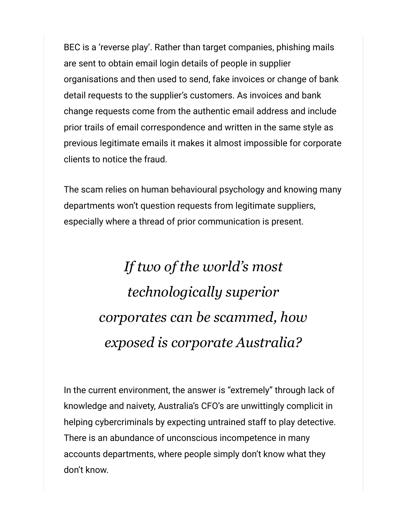BEC is a 'reverse play'. Rather than target companies, phishing mails are sent to obtain email login details of people in supplier organisations and then used to send, fake invoices or change of bank detail requests to the supplier's customers. As invoices and bank change requests come from the authentic email address and include prior trails of email correspondence and written in the same style as previous legitimate emails it makes it almost impossible for corporate clients to notice the fraud.

The scam relies on human behavioural psychology and knowing many departments won't question requests from legitimate suppliers, especially where a thread of prior communication is present.

# If two of the world's most technologically superior corporates can be scammed, how exposed is corporate Australia?

In the current environment, the answer is "extremely" through lack of knowledge and naivety, Australia's CFO's are unwittingly complicit in helping cybercriminals by expecting untrained staff to play detective. There is an abundance of unconscious incompetence in many accounts departments, where people simply don't know what they don't know.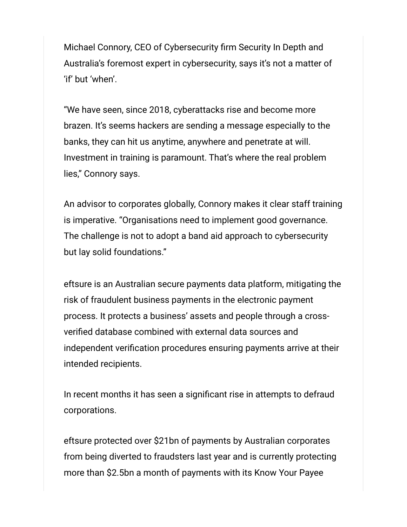Michael Connory, CEO of Cybersecurity firm Security In Depth and Australia's foremost expert in cybersecurity, says it's not a matter of 'if' but 'when'.

"We have seen, since 2018, cyberattacks rise and become more brazen. It's seems hackers are sending a message especially to the banks, they can hit us anytime, anywhere and penetrate at will. Investment in training is paramount. That's where the real problem lies," Connory says.

An advisor to corporates globally, Connory makes it clear staff training is imperative. "Organisations need to implement good governance. The challenge is not to adopt a band aid approach to cybersecurity but lay solid foundations."

eftsure is an Australian secure payments data platform, mitigating the risk of fraudulent business payments in the electronic payment process. It protects a business' assets and people through a crossverified database combined with external data sources and independent verification procedures ensuring payments arrive at their intended recipients.

In recent months it has seen a significant rise in attempts to defraud corporations.

eftsure protected over \$21bn of payments by Australian corporates from being diverted to fraudsters last year and is currently protecting more than \$2.5bn a month of payments with its Know Your Payee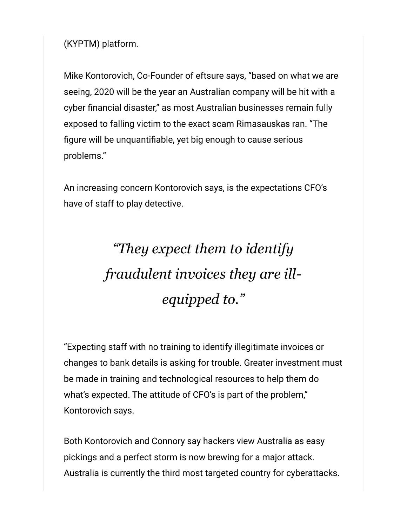(KYPTM) platform.

Mike Kontorovich, Co-Founder of eftsure says, "based on what we are seeing, 2020 will be the year an Australian company will be hit with a cyber financial disaster," as most Australian businesses remain fully exposed to falling victim to the exact scam Rimasauskas ran. "The figure will be unquantifiable, yet big enough to cause serious problems."

An increasing concern Kontorovich says, is the expectations CFO's have of staff to play detective.

# "They expect them to identify fraudulent invoices they are illequipped to."

"Expecting staff with no training to identify illegitimate invoices or changes to bank details is asking for trouble. Greater investment must be made in training and technological resources to help them do what's expected. The attitude of CFO's is part of the problem," Kontorovich says.

Both Kontorovich and Connory say hackers view Australia as easy pickings and a perfect storm is now brewing for a major attack. Australia is currently the third most targeted country for cyberattacks.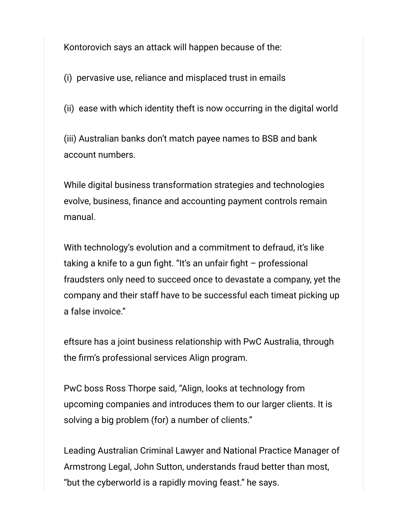Kontorovich says an attack will happen because of the:

(i) pervasive use, reliance and misplaced trust in emails

(ii) ease with which identity theft is now occurring in the digital world

(iii) Australian banks don't match payee names to BSB and bank account numbers.

While digital business transformation strategies and technologies evolve, business, finance and accounting payment controls remain manual.

With technology's evolution and a commitment to defraud, it's like taking a knife to a gun fight. "It's an unfair fight – professional fraudsters only need to succeed once to devastate a company, yet the company and their staff have to be successful each timeat picking up a false invoice."

eftsure has a joint business relationship with PwC Australia, through the firm's professional services Align program.

PwC boss Ross Thorpe said, "Align, looks at technology from upcoming companies and introduces them to our larger clients. It is solving a big problem (for) a number of clients."

Leading Australian Criminal Lawyer and National Practice Manager of Armstrong Legal, John Sutton, understands fraud better than most, "but the cyberworld is a rapidly moving feast." he says.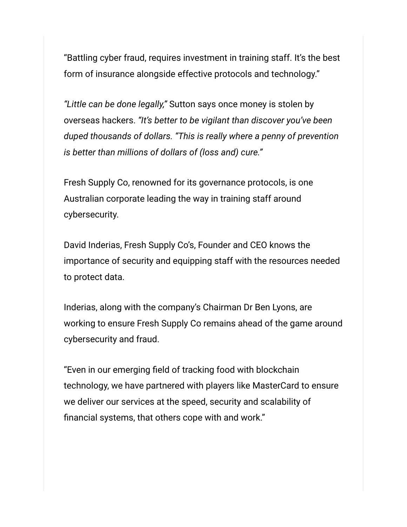"Battling cyber fraud, requires investment in training staff. It's the best form of insurance alongside effective protocols and technology."

"Little can be done legally," Sutton says once money is stolen by overseas hackers. "It's better to be vigilant than discover you've been duped thousands of dollars. "This is really where a penny of prevention is better than millions of dollars of (loss and) cure."

Fresh Supply Co, renowned for its governance protocols, is one Australian corporate leading the way in training staff around cybersecurity.

David Inderias, Fresh Supply Co's, Founder and CEO knows the importance of security and equipping staff with the resources needed to protect data.

Inderias, along with the company's Chairman Dr Ben Lyons, are working to ensure Fresh Supply Co remains ahead of the game around cybersecurity and fraud.

"Even in our emerging field of tracking food with blockchain technology, we have partnered with players like MasterCard to ensure we deliver our services at the speed, security and scalability of financial systems, that others cope with and work."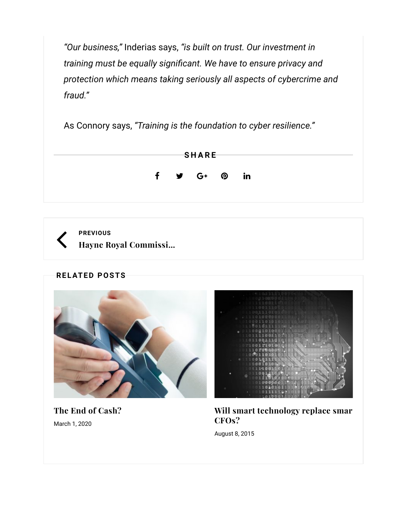"Our business," Inderias says, "is built on trust. Our investment in training must be equally significant. We have to ensure privacy and protection which means taking seriously all aspects of cybercrime and fraud."

As Connory says, "Training is the foundation to cyber resilience."



PREVIOUS Hayne Royal Commissi…

**RELATED POSTS** 



The End of Cash? March 1, 2020



Will smart technology replace smar CFOs?

August 8, 2015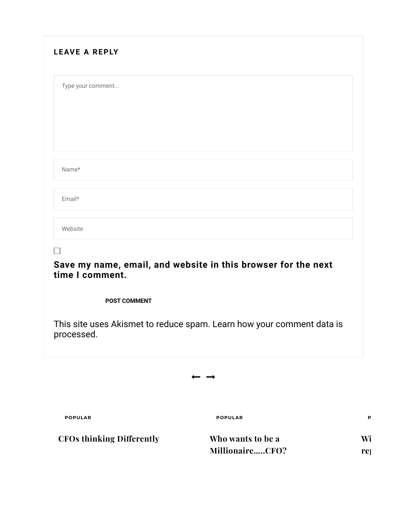| <b>LEAVE A REPLY</b>                   |                                                                       |                 |
|----------------------------------------|-----------------------------------------------------------------------|-----------------|
| Type your comment                      |                                                                       |                 |
|                                        |                                                                       |                 |
| Name*                                  |                                                                       |                 |
| Email*                                 |                                                                       |                 |
| Website                                |                                                                       |                 |
| time I comment.<br><b>POST COMMENT</b> | Save my name, email, and website in this browser for the next         |                 |
| processed.                             | This site uses Akismet to reduce spam. Learn how your comment data is |                 |
|                                        |                                                                       |                 |
| <b>POPULAR</b>                         | <b>POPULAR</b>                                                        | P               |
| <b>CFOs thinking Differently</b>       | Who wants to be a                                                     | Wi              |
|                                        | MillionaireCFO?                                                       | re <sub>]</sub> |